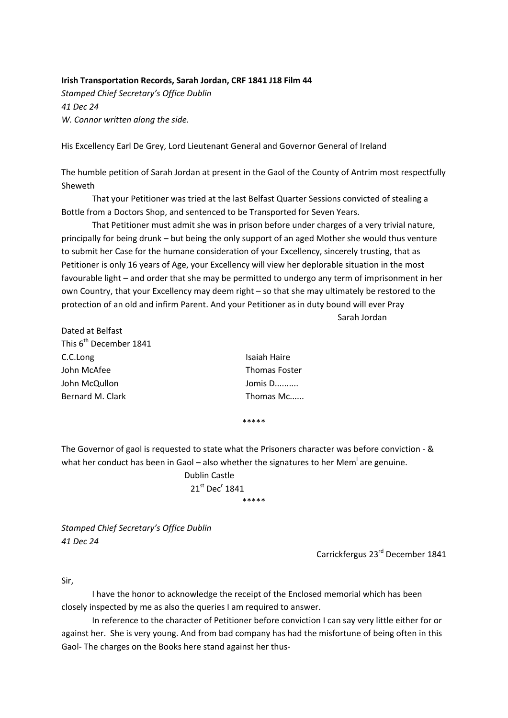## **Irish Transportation Records, Sarah Jordan, CRF 1841 J18 Film 44**

*Stamped Chief Secretary's Office Dublin 41 Dec 24 W. Connor written along the side.*

His Excellency Earl De Grey, Lord Lieutenant General and Governor General of Ireland

The humble petition of Sarah Jordan at present in the Gaol of the County of Antrim most respectfully Sheweth

That your Petitioner was tried at the last Belfast Quarter Sessions convicted of stealing a Bottle from a Doctors Shop, and sentenced to be Transported for Seven Years.

That Petitioner must admit she was in prison before under charges of a very trivial nature, principally for being drunk – but being the only support of an aged Mother she would thus venture to submit her Case for the humane consideration of your Excellency, sincerely trusting, that as Petitioner is only 16 years of Age, your Excellency will view her deplorable situation in the most favourable light – and order that she may be permitted to undergo any term of imprisonment in her own Country, that your Excellency may deem right – so that she may ultimately be restored to the protection of an old and infirm Parent. And your Petitioner as in duty bound will ever Pray

Sarah Jordan

| Dated at Belfast                   |                      |
|------------------------------------|----------------------|
| This 6 <sup>th</sup> December 1841 |                      |
| C.C.Long                           | Isaiah Haire         |
| John McAfee                        | <b>Thomas Foster</b> |
| John McQullon                      | Jomis D              |
| Bernard M. Clark                   | Thomas Mc            |
|                                    |                      |

Fhomas Mc......

The Governor of gaol is requested to state what the Prisoners character was before conviction ‐ & what her conduct has been in Gaol – also whether the signatures to her Mem<sup>l</sup> are genuine.

\*\*\*\*\*

 Dublin Castle  $21^{\rm st}$  Dec<sup>r</sup> 1841 \*\*\*\*\*

*Stamped Chief Secretary's Office Dublin 41 Dec 24*

Carrickfergus 23rd December 1841

Sir,

I have the honor to acknowledge the receipt of the Enclosed memorial which has been closely inspected by me as also the queries I am required to answer.

In reference to the character of Petitioner before conviction I can say very little either for or against her. She is very young. And from bad company has had the misfortune of being often in this Gaol‐ The charges on the Books here stand against her thus‐